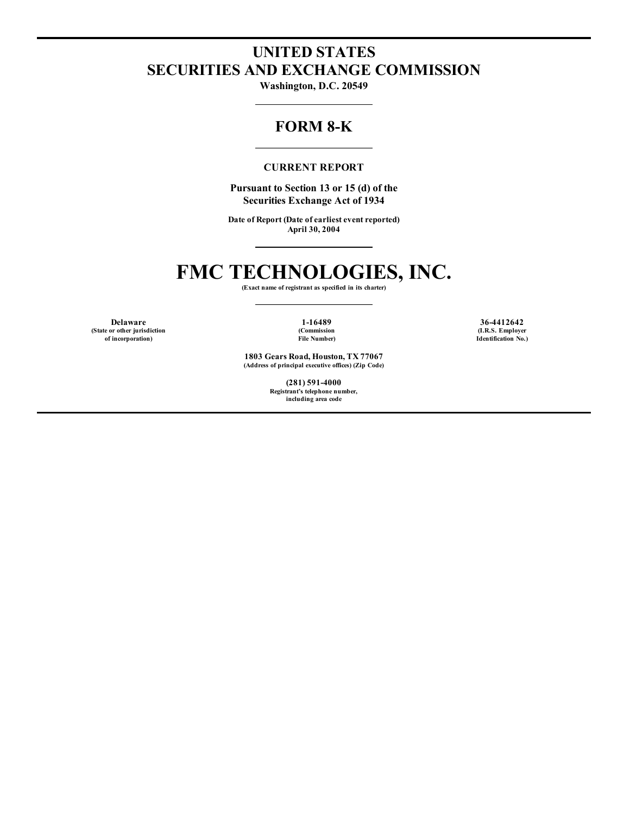## **UNITED STATES SECURITIES AND EXCHANGE COMMISSION**

**Washington, D.C. 20549**

### **FORM 8-K**

#### **CURRENT REPORT**

**Pursuant to Section 13 or 15 (d) of the Securities Exchange Act of 1934**

**Date of Report (Date of earliest event reported) April 30, 2004**

## **FMC TECHNOLOGIES, INC.**

**(Exact name of registrant as specified in its charter)**

**(State or other jurisdiction of incorporation)**

**(Commission File Number)**

**1803 Gears Road, Houston, TX 77067 (Address of principal executive offices) (Zip Code)**

> **(281) 591-4000 Registrant's telephone number, including area code**

**Delaware 1-16489 36-4412642 (I.R.S. Employer Identification No.)**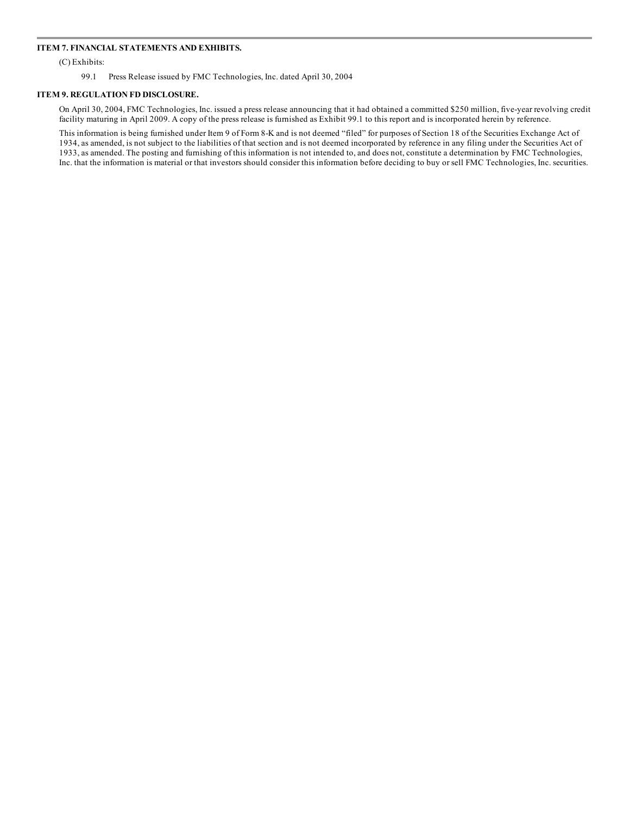#### **ITEM 7. FINANCIAL STATEMENTS AND EXHIBITS.**

(C) Exhibits:

99.1 Press Release issued by FMC Technologies, Inc. dated April 30, 2004

#### **ITEM 9. REGULATION FD DISCLOSURE.**

On April 30, 2004, FMC Technologies, Inc. issued a press release announcing that it had obtained a committed \$250 million, five-year revolving credit facility maturing in April 2009. A copy of the press release is furnished as Exhibit 99.1 to this report and is incorporated herein by reference.

This information is being furnished under Item 9 of Form 8-K and is not deemed "filed" for purposes of Section 18 of the Securities Exchange Act of 1934, as amended, is not subject to the liabilities of that section and is not deemed incorporated by reference in any filing under the Securities Act of 1933, as amended. The posting and furnishing of this information is not intended to, and does not, constitute a determination by FMC Technologies, Inc. that the information is material or that investors should consider this information before deciding to buy or sell FMC Technologies, Inc. securities.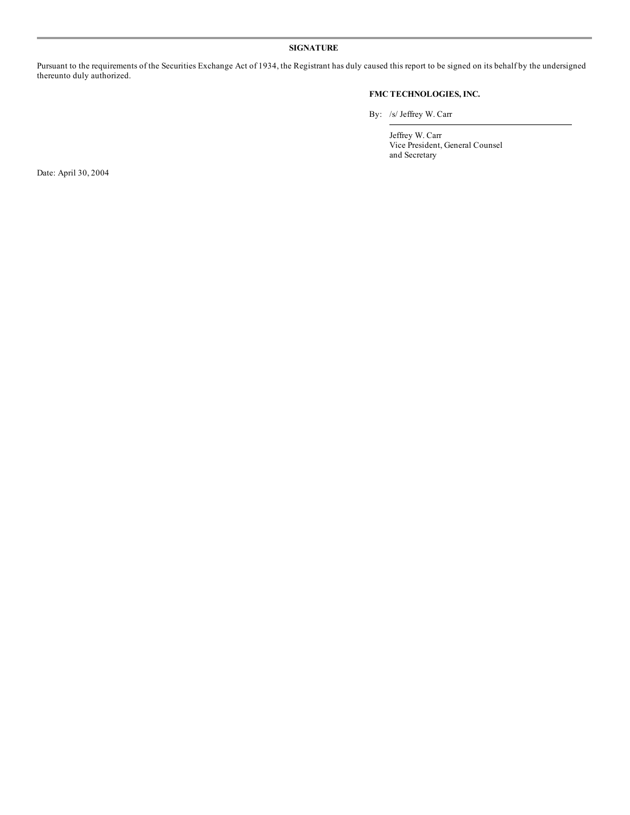#### **SIGNATURE**

Pursuant to the requirements of the Securities Exchange Act of 1934, the Registrant has duly caused this report to be signed on its behalf by the undersigned thereunto duly authorized.

#### **FMC TECHNOLOGIES, INC.**

By: /s/ Jeffrey W. Carr

Jeffrey W. Carr Vice President, General Counsel and Secretary

Date: April 30, 2004